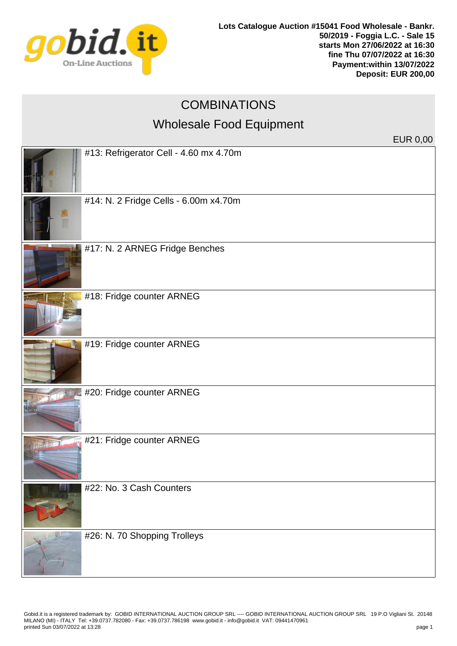

## **COMBINATIONS**

## Wholesale Food Equipment

 $FUR 0 00$ 

| #13: Refrigerator Cell - 4.60 mx 4.70m |  |
|----------------------------------------|--|
| #14: N. 2 Fridge Cells - 6.00m x4.70m  |  |
| #17: N. 2 ARNEG Fridge Benches         |  |
| #18: Fridge counter ARNEG              |  |
| #19: Fridge counter ARNEG              |  |
| #20: Fridge counter ARNEG              |  |
| #21: Fridge counter ARNEG              |  |
| #22: No. 3 Cash Counters               |  |
| #26: N. 70 Shopping Trolleys           |  |